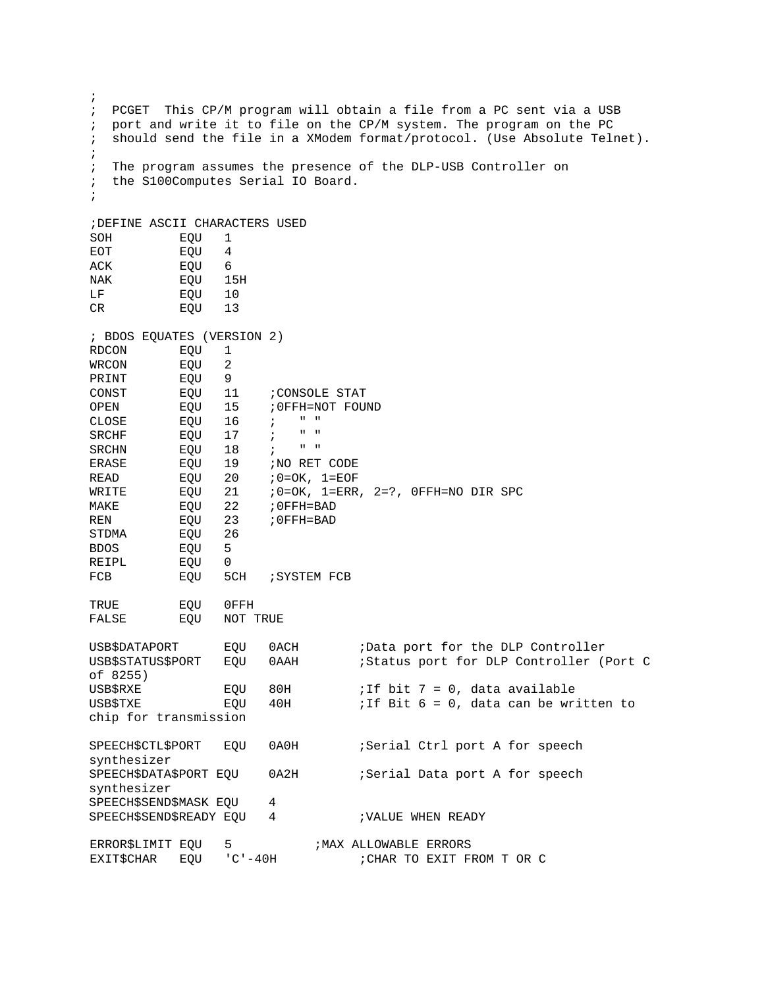| $\ddot{i}$                     |                        |            |                                         |                                                                                                                                            |  |
|--------------------------------|------------------------|------------|-----------------------------------------|--------------------------------------------------------------------------------------------------------------------------------------------|--|
| $\ddot{i}$<br>$\ddot{i}$       |                        |            |                                         | PCGET This CP/M program will obtain a file from a PC sent via a USB<br>port and write it to file on the CP/M system. The program on the PC |  |
| $\ddot{i}$                     |                        |            |                                         | should send the file in a XModem format/protocol. (Use Absolute Telnet).                                                                   |  |
| ÷                              |                        |            |                                         |                                                                                                                                            |  |
| $\ddot{i}$                     |                        |            | the S100Computes Serial IO Board.       | The program assumes the presence of the DLP-USB Controller on                                                                              |  |
| $\ddot{i}$                     |                        |            |                                         |                                                                                                                                            |  |
| $\ddot{i}$                     |                        |            |                                         |                                                                                                                                            |  |
| ; DEFINE ASCII CHARACTERS USED |                        |            |                                         |                                                                                                                                            |  |
| SOH                            | EQU                    | 1          |                                         |                                                                                                                                            |  |
| EOT                            | EQU                    | 4          |                                         |                                                                                                                                            |  |
| ACK                            | EQU                    | 6          |                                         |                                                                                                                                            |  |
| NAK                            | EQU                    | 15H        |                                         |                                                                                                                                            |  |
| LF                             | EQU                    | 10         |                                         |                                                                                                                                            |  |
| CR                             | EQU                    | 13         |                                         |                                                                                                                                            |  |
| ; BDOS EQUATES (VERSION 2)     |                        |            |                                         |                                                                                                                                            |  |
| RDCON                          | EQU                    | 1          |                                         |                                                                                                                                            |  |
| WRCON                          | EQU                    | 2          |                                         |                                                                                                                                            |  |
| PRINT                          | EQU                    | 9          |                                         |                                                                                                                                            |  |
| CONST                          | EQU                    | 11         | CONSOLE STAT                            |                                                                                                                                            |  |
| OPEN                           | EQU                    | 15         | : OFFH=NOT FOUND                        |                                                                                                                                            |  |
| CLOSE                          | EQU                    | 16         | $\mathbf{u} = \mathbf{u}$<br>$\ddot{i}$ |                                                                                                                                            |  |
| SRCHF                          | EQU                    | 17         | $\mathbf H$<br>$\blacksquare$           |                                                                                                                                            |  |
| SRCHN                          | EQU                    | 18         | $\mathbf{u} = \mathbf{u}$<br>$\ddot{i}$ |                                                                                                                                            |  |
| ERASE                          | EQU                    | 19         | NO RET CODE                             |                                                                                                                                            |  |
| <b>READ</b>                    | EQU                    | 20         | $70=OK$ , $1=EOF$                       |                                                                                                                                            |  |
| WRITE                          | EQU                    | 21         |                                         | $:0=OK, 1=ERR, 2=?, 0FFH=NO DIR SPC$                                                                                                       |  |
| MAKE                           | EQU                    | 22         | ; OFFH=BAD                              |                                                                                                                                            |  |
| REN                            | EQU                    | 23         | ; OFFH=BAD                              |                                                                                                                                            |  |
| STDMA                          | EQU                    | 26         |                                         |                                                                                                                                            |  |
| <b>BDOS</b>                    | EQU                    | 5          |                                         |                                                                                                                                            |  |
| REIPL                          | EQU                    | 0          |                                         |                                                                                                                                            |  |
| FCB                            | EQU                    | 5CH        | <i>SYSTEM FCB</i>                       |                                                                                                                                            |  |
| TRUE                           |                        | $0$ FFH    |                                         |                                                                                                                                            |  |
| FALSE                          | EQU<br>EQU<br>NOT TRUE |            |                                         |                                                                                                                                            |  |
| USB\$DATAPORT                  |                        |            | 0ACH                                    |                                                                                                                                            |  |
| <b>USB\$STATUS\$PORT</b>       |                        | EQU        |                                         | ;Data port for the DLP Controller<br>;Status port for DLP Controller (Port C                                                               |  |
| of 8255)                       |                        | EQU        | 0AAH                                    |                                                                                                                                            |  |
|                                |                        |            |                                         |                                                                                                                                            |  |
| USB\$RXE<br>USB\$TXE           |                        | EQU<br>EQU | 80H<br>40H                              | ; If bit $7 = 0$ , data available<br>; If Bit $6 = 0$ , data can be written to                                                             |  |
| chip for transmission          |                        |            |                                         |                                                                                                                                            |  |
|                                |                        |            |                                         |                                                                                                                                            |  |
| SPEECH\$CTL\$PORT              |                        | EQU        | 0A0H                                    | ;Serial Ctrl port A for speech                                                                                                             |  |
| synthesizer                    |                        |            |                                         |                                                                                                                                            |  |
| SPEECH\$DATA\$PORT EQU         |                        |            | 0A2H                                    | Serial Data port A for speech                                                                                                              |  |
| synthesizer                    |                        |            |                                         |                                                                                                                                            |  |
| SPEECH\$SEND\$MASK EQU         |                        |            | 4                                       |                                                                                                                                            |  |
| SPEECH\$SEND\$READY EQU        |                        |            | 4                                       | <b>; VALUE WHEN READY</b>                                                                                                                  |  |
| ERROR\$LIMIT EQU               |                        | 5          |                                         | ; MAX ALLOWABLE ERRORS                                                                                                                     |  |
| <b>EXIT\$CHAR</b>              | EQU                    | $°C - 40H$ |                                         | ; CHAR TO EXIT FROM T OR C                                                                                                                 |  |
|                                |                        |            |                                         |                                                                                                                                            |  |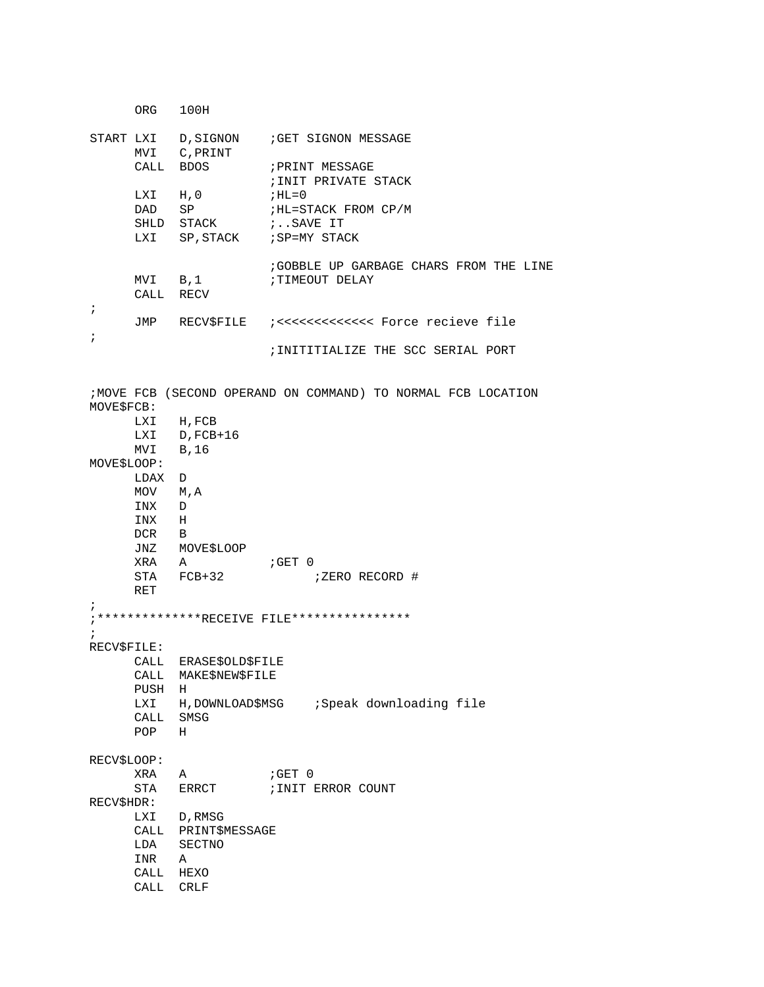|             | ORG 100H             |                           |                                                               |  |  |  |  |
|-------------|----------------------|---------------------------|---------------------------------------------------------------|--|--|--|--|
|             |                      | MVI C, PRINT<br>CALL BDOS | START LXI D, SIGNON ; GET SIGNON MESSAGE<br>; PRINT MESSAGE   |  |  |  |  |
|             |                      |                           | ; INIT PRIVATE STACK                                          |  |  |  |  |
|             | LXI H, O<br>DAD      | SP                        | ; HL=0<br>;HL=STACK FROM CP/M                                 |  |  |  |  |
|             |                      | SHLD STACK                | ;SAVE IT                                                      |  |  |  |  |
|             |                      |                           | LXI SP, STACK : SP=MY STACK                                   |  |  |  |  |
| $\ddot{ }$  | MVI B,1<br>CALL RECV |                           | GOBBLE UP GARBAGE CHARS FROM THE LINE<br>TIMEOUT DELAY        |  |  |  |  |
|             |                      |                           |                                                               |  |  |  |  |
| ï           |                      |                           | ; INITITIALIZE THE SCC SERIAL PORT                            |  |  |  |  |
|             |                      |                           | ; MOVE FCB (SECOND OPERAND ON COMMAND) TO NORMAL FCB LOCATION |  |  |  |  |
| MOVE\$FCB:  |                      |                           |                                                               |  |  |  |  |
|             |                      | LXI H, FCB                |                                                               |  |  |  |  |
|             |                      | LXI D, FCB+16             |                                                               |  |  |  |  |
|             | $MVI$ B, 16          |                           |                                                               |  |  |  |  |
| MOVE\$LOOP: |                      |                           |                                                               |  |  |  |  |
|             | LDAX<br>MOV M, A     | D                         |                                                               |  |  |  |  |
|             | INX D                |                           |                                                               |  |  |  |  |
|             | INX H                |                           |                                                               |  |  |  |  |
|             | DCR B                |                           |                                                               |  |  |  |  |
|             |                      | JNZ MOVE\$LOOP            |                                                               |  |  |  |  |
|             | XRA A                |                           | GET 0;                                                        |  |  |  |  |
|             | RET                  | STA FCB+32                | ;ZERO RECORD #                                                |  |  |  |  |
| i           |                      |                           | ; **************RECEIVE FILE****************                  |  |  |  |  |
| $\ddot{i}$  |                      |                           |                                                               |  |  |  |  |
| RECV\$FILE: |                      |                           |                                                               |  |  |  |  |
|             | CALL                 | <b>ERASE\$OLD\$FILE</b>   |                                                               |  |  |  |  |
|             | CALL                 | MAKE\$NEW\$FILE           |                                                               |  |  |  |  |
|             | PUSH                 | Н                         |                                                               |  |  |  |  |
|             | LXI                  | H, DOWNLOAD\$MSG          | ;Speak downloading file                                       |  |  |  |  |
|             | CALL                 | SMSG                      |                                                               |  |  |  |  |
|             | POP                  | н                         |                                                               |  |  |  |  |
| RECV\$LOOP: |                      |                           |                                                               |  |  |  |  |
|             | XRA                  | Α                         | ;GET 0                                                        |  |  |  |  |
|             | STA                  | ERRCT                     | ; INIT ERROR COUNT                                            |  |  |  |  |
| RECV\$HDR:  |                      |                           |                                                               |  |  |  |  |
|             | LXI                  | D, RMSG                   |                                                               |  |  |  |  |
|             | CALL                 | PRINT\$MESSAGE            |                                                               |  |  |  |  |
|             | LDA                  | SECTNO                    |                                                               |  |  |  |  |
|             | INR                  | Α                         |                                                               |  |  |  |  |
|             | CALL                 | HEXO                      |                                                               |  |  |  |  |
|             | CALL                 | <b>CRLF</b>               |                                                               |  |  |  |  |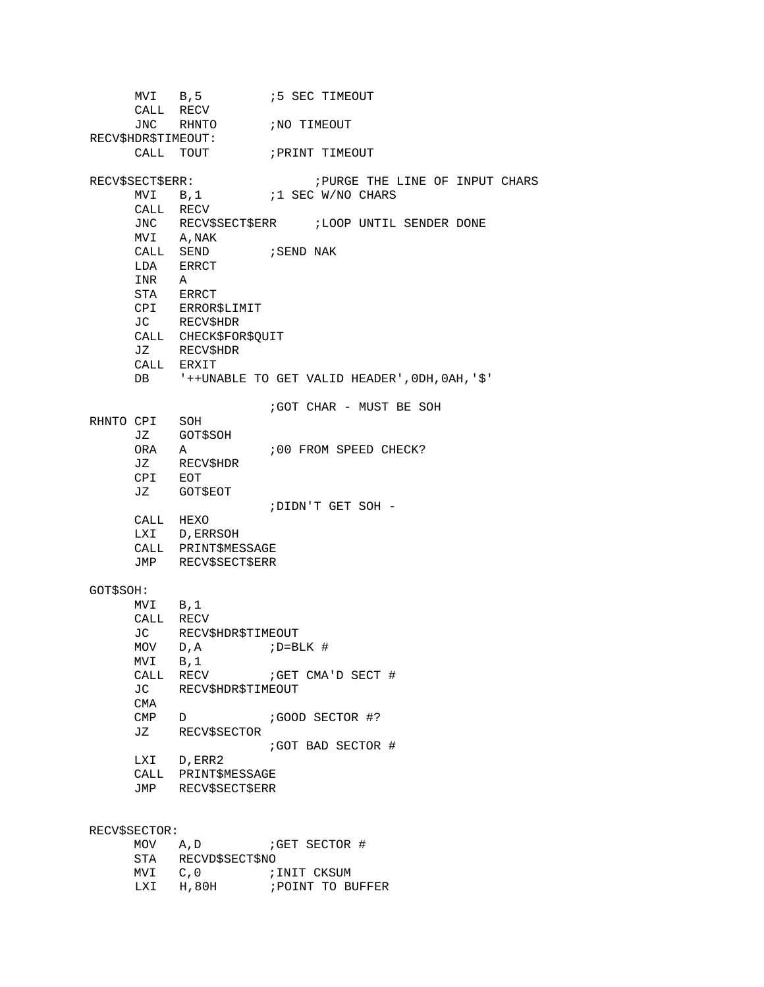MVI B,5  $\cdot$  5 SEC TIMEOUT CALL RECV<br>JNC RHNTO ;NO TIMEOUT RECV\$HDR\$TIMEOUT:<br>CALL TOUT ; PRINT TIMEOUT RECV\$SECT\$ERR: ;PURGE THE LINE OF INPUT CHARS ;1 SEC W/NO CHARS CALL RECV JNC RECV\$SECT\$ERR : LOOP UNTIL SENDER DONE MVI A,NAK  $\begin{tabular}{llll} \multicolumn{2}{l}{{\text{CALL}}} & \multicolumn{2}{l}{\text{SEND}} & \multicolumn{2}{l}{\text{SEND}} & \multicolumn{2}{l}{\text{NAK}} \end{tabular}$ LDA ERRCT INR A STA ERRCT CPI ERROR\$LIMIT JC RECV\$HDR CALL CHECK\$FOR\$QUIT JZ RECV\$HDR CALL ERXIT DB '++UNABLE TO GET VALID HEADER',0DH,0AH,'\$' ;GOT CHAR - MUST BE SOH RHNTO CPI SOH<br>JZ GOTS JZ GOT\$SOH ;00 FROM SPEED CHECK? JZ RECV\$HDR CPI EOT JZ GOT\$EOT ;DIDN'T GET SOH - CALL HEXO LXI D,ERRSOH CALL PRINT\$MESSAGE JMP RECV\$SECT\$ERR GOT\$SOH: MVI B,1 CALL RECV<br>JC RECV: RECV\$HDR\$TIMEOUT  $MOV$  D, A  $i$  D=BLK # MVI B,1<br>CALL RECV CALL RECV ;GET CMA'D SECT #<br>JC RECVSHDRSTIMEOUT RECV\$HDR\$TIMEOUT CMA<br>CMP D ;GOOD SECTOR #? JZ RECV\$SECTOR ;GOT BAD SECTOR # LXI D,ERR2 CALL PRINT\$MESSAGE JMP RECV\$SECT\$ERR RECV\$SECTOR:<br>MOV A,D ;GET SECTOR # STA RECVD\$SECT\$NO MVI C, 0 ;INIT CKSUM

LXI H,80H ; POINT TO BUFFER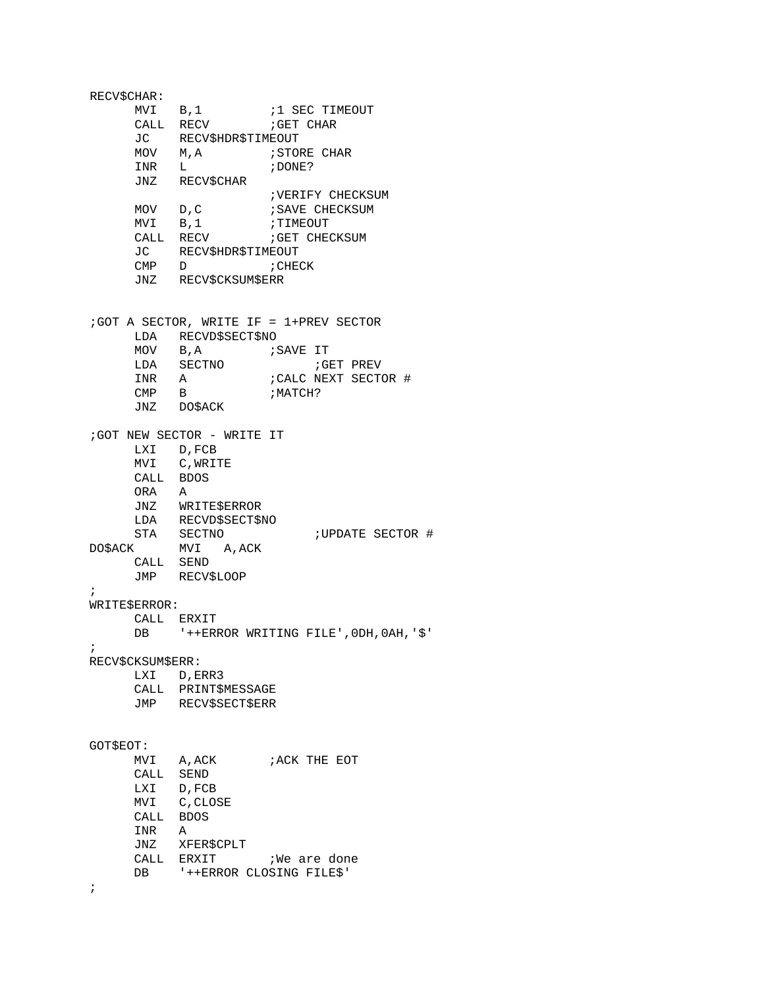RECV\$CHAR: MVI B,1  $\qquad$  ;1 SEC TIMEOUT CALL RECV *;*GET CHAR JC RECV\$HDR\$TIMEOUT MOV M,A ;STORE CHAR  $INR$   $L$ JNZ RECV\$CHAR ;VERIFY CHECKSUM<br>;SAVE CHECKSUM MOV D,C ;SAVE CHECKSUM MVI B,1 ; TIMEOUT CALL RECV ; GET CHECKSUM JC RECV\$HDR\$TIMEOUT<br>CMP D ;CHECK CMP D JNZ RECV\$CKSUM\$ERR ;GOT A SECTOR, WRITE IF = 1+PREV SECTOR LDA RECVD\$SECT\$NO MOV B,A ;SAVE IT LDA SECTNO *;*GET PREV INR A : CALC NEXT SECTOR #  $\begin{array}{ccc}\n\text{INR} & \text{A} & \text{?CALC} \\
\text{CMP} & \text{B} & \text{? MACH?}\n\end{array}$ JNZ DO\$ACK ;GOT NEW SECTOR - WRITE IT LXI D,FCB MVI C,WRITE CALL BDOS ORA A JNZ WRITE\$ERROR LDA RECVD\$SECT\$NO STA SECTNO : UPDATE SECTOR # DO\$ACK MVI A,ACK CALL SEND JMP RECV\$LOOP ; WRITE\$ERROR: CALL ERXIT DB '++ERROR WRITING FILE',0DH,0AH,'\$' ; RECV\$CKSUM\$ERR: LXI D, ERR3 CALL PRINT\$MESSAGE JMP RECV\$SECT\$ERR GOT\$EOT: MVI A, ACK **FRICK** FRICK THE EOT CALL SEND LXI D, FCB<br>MVI C, CLOSE MVI C,CLOSE CALL BDOS INR A JNZ XFER\$CPLT CALL ERXIT : We are done DB '++ERROR CLOSING FILE\$' ;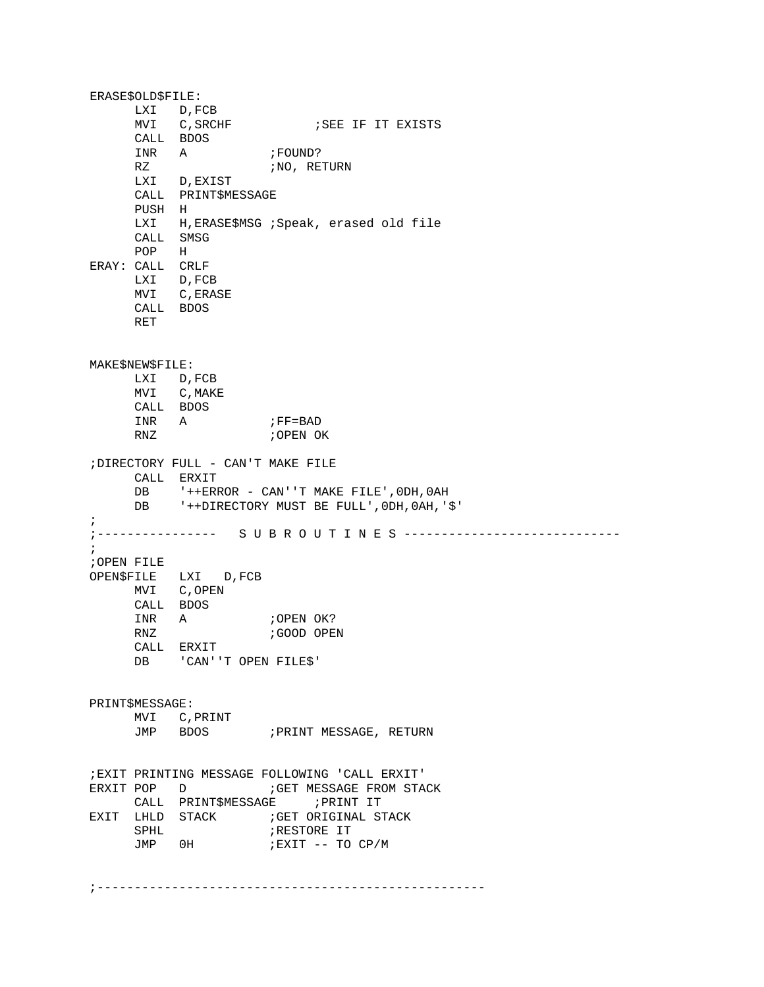ERASE\$OLD\$FILE: LXI D,FCB<br>MVI C,SRCHF ; SEE IF IT EXISTS CALL BDOS INR A ;FOUND?<br>RZ ;NO, RET ;NO, RETURN LXI D,EXIST CALL PRINT\$MESSAGE PUSH H<br>LXI H H, ERASE\$MSG ; Speak, erased old file CALL SMSG POP H ERAY: CALL CRLF LXI D,FCB MVI C,ERASE CALL BDOS RET MAKE\$NEW\$FILE: LXI D,FCB MVI C, MAKE CALL BDOS INR A ;FF=BAD<br>RNZ ;OPEN OI ;OPEN OK ;DIRECTORY FULL - CAN'T MAKE FILE CALL ERXIT DB '++ERROR - CAN''T MAKE FILE', 0DH, 0AH<br>DB '++DIRECTORY MUST BE FULL', 0DH, 0AH, ' DB '++DIRECTORY MUST BE FULL',0DH,0AH,'\$' ; ;---------------- S U B R O U T I N E S ----------------------------- ; ;OPEN FILE OPEN\$FILE LXI D,FCB MVI C,OPEN CALL BDOS INR A ;OPEN OK?<br>RNZ ;GOOD OPE ; GOOD OPEN CALL ERXIT DB 'CAN''T OPEN FILE\$' PRINT\$MESSAGE: MVI C,PRINT JMP BDOS ; PRINT MESSAGE, RETURN ;EXIT PRINTING MESSAGE FOLLOWING 'CALL ERXIT' ERXIT POP D ;GET MESSAGE FROM STACK CALL PRINT\$MESSAGE EXIT LHLD STACK ;GET ORIGINAL STACK SPHL <br>
JMP 0H <br>
;EXIT -- TO ;EXIT -- TO CP/M

;----------------------------------------------------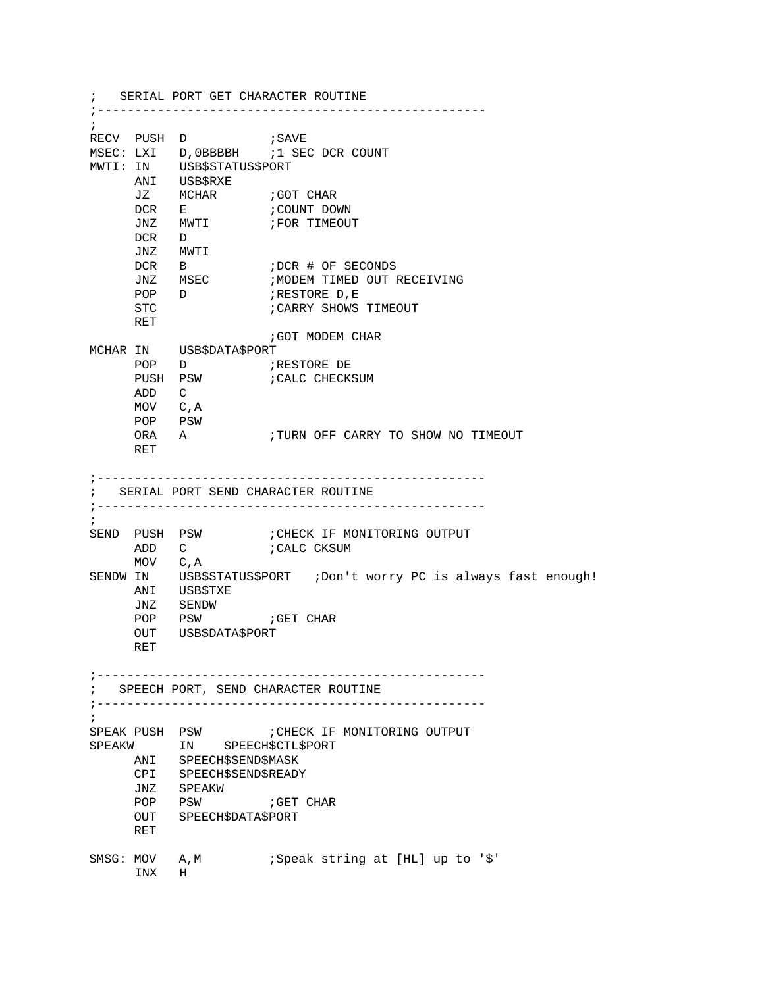; SERIAL PORT GET CHARACTER ROUTINE ;---------------------------------------------------- ; RECV PUSH D ;SAVE MSEC: LXI D,0BBBBH ;1 SEC DCR COUNT MWTI: IN USB\$STATUS\$PORT ANI USB\$RXE<br>JZ MCHAR JZ MCHAR ;GOT CHAR<br>DCR E ;COUNT DOI ;COUNT DOWN<br>;FOR TIMEOUT JNZ MWTI DCR D JNZ MWTI DCR B ;DCR # OF SECONDS JNZ MSEC ;MODEM TIMED OUT RECEIVING<br>POP D ;RESTORE D,E POP D ;RESTORE D,E ; CARRY SHOWS TIMEOUT RET ;GOT MODEM CHAR MCHAR IN USB\$DATA\$PORT POP D<br>PUSH PSW ; CALC CHECKSUM ADD C MOV C,A POP PSW ORA A :TURN OFF CARRY TO SHOW NO TIMEOUT RET ;---------------------------------------------------- ; SERIAL PORT SEND CHARACTER ROUTINE ;---------------------------------------------------- ; SEND PUSH PSW : CHECK IF MONITORING OUTPUT ADD C ; CALC CKSUM MOV C,A SENDW IN USB\$STATUS\$PORT ;Don't worry PC is always fast enough! ANI USB\$TXE<br>JNZ SENDW JNZ SENDW ; GET CHAR OUT USB\$DATA\$PORT RET ;---------------------------------------------------- ; SPEECH PORT, SEND CHARACTER ROUTINE ;---------------------------------------------------- ;<br>SPEAK PUSH PSW ; CHECK IF MONITORING OUTPUT SPEAKW IN SPEECH\$CTL\$PORT ANI SPEECH\$SEND\$MASK CPI SPEECH\$SEND\$READY JNZ SPEAKW ;GET CHAR OUT SPEECH\$DATA\$PORT RET SMSG: MOV A, M : Speak string at [HL] up to '\$' INX H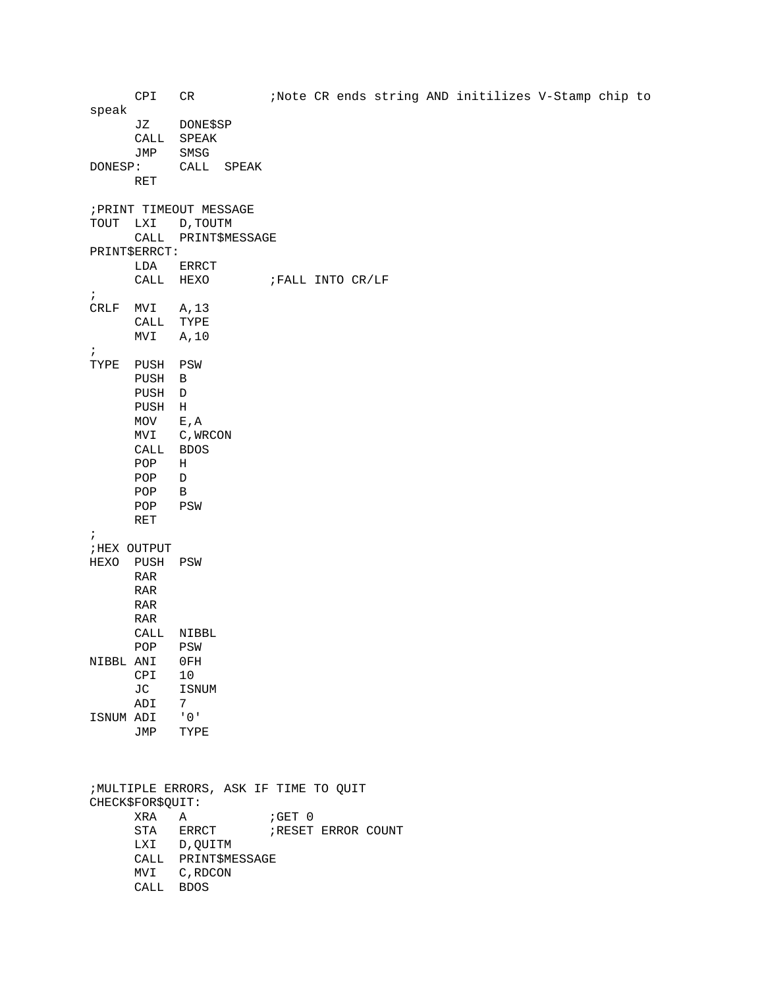CPI CR :Note CR ends string AND initilizes V-Stamp chip to speak JZ DONE\$SP CALL SPEAK JMP SMSG<br>DONESP: CALL CALL SPEAK RET ;PRINT TIMEOUT MESSAGE TOUT LXI D,TOUTM CALL PRINT\$MESSAGE PRINT\$ERRCT: LDA ERRCT<br>CALL HEXO ; FALL INTO CR/LF ; CRLF MVI A,13 CALL TYPE MVI A,10 ; TYPE PUSH PSW PUSH B PUSH D PUSH H MOV E,A MVI C,WRCON CALL BDOS POP H POP D POP B POP PSW RET ; ;HEX OUTPUT HEXO PUSH PSW RAR RAR RAR RAR CALL NIBBL POP PSW NIBBL ANI 0FH CPI 10<br>JC ISN **ISNUM** ADI 7 ISNUM ADI '0' JMP TYPE ;MULTIPLE ERRORS, ASK IF TIME TO QUIT CHECK\$FOR\$QUIT: XRA A ;GET 0 ; RESET ERROR COUNT LXI D,QUITM CALL PRINT\$MESSAGE MVI C,RDCON CALL BDOS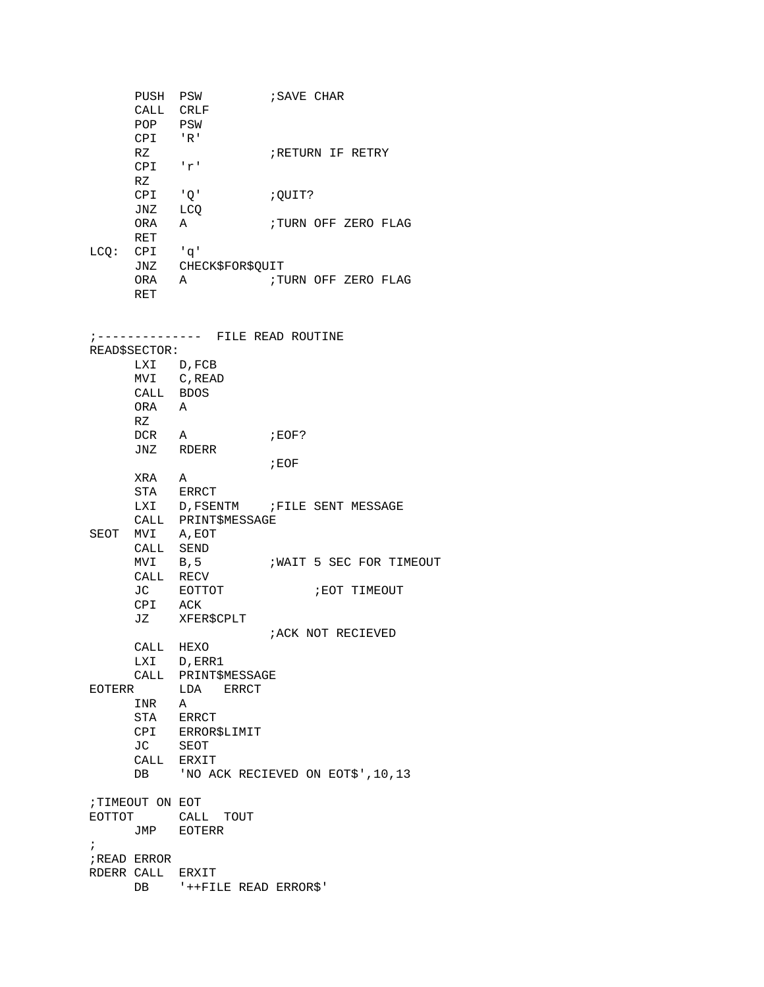PUSH PSW ; SAVE CHAR CALL CRLF POP PSW CPI 'R' ; RETURN IF RETRY CPI 'r' RZ CPI 'Q' ;QUIT? JNZ LCQ ; TURN OFF ZERO FLAG RET LCQ: CPI 'q' JNZ CHECK\$FOR\$QUIT<br>ORA A ;TU ; TURN OFF ZERO FLAG RET ;-------------- FILE READ ROUTINE READ\$SECTOR: LXI D,FCB MVI C,READ CALL BDOS ORA A RZ DCR A ; EOF? JNZ RDERR ;EOF XRA A STA ERRCT LXI D, FSENTM ; FILE SENT MESSAGE CALL PRINT\$MESSAGE SEOT MVI A,EOT CALL SEND<br>MVI B,5 WAIT 5 SEC FOR TIMEOUT CALL RECV<br>JC EOTTOT ; EOT TIMEOUT CPI ACK JZ XFER\$CPLT ;ACK NOT RECIEVED CALL HEXO LXI D,ERR1 CALL PRINT\$MESSAGE EOTERR LDA ERRCT INR A STA ERRCT CPI ERROR\$LIMIT JC SEOT CALL ERXIT DB 'NO ACK RECIEVED ON EOT\$', 10, 13 ;TIMEOUT ON EOT EOTTOT CALL TOUT JMP EOTERR ; ;READ ERROR RDERR CALL ERXIT DB '++FILE READ ERROR\$'